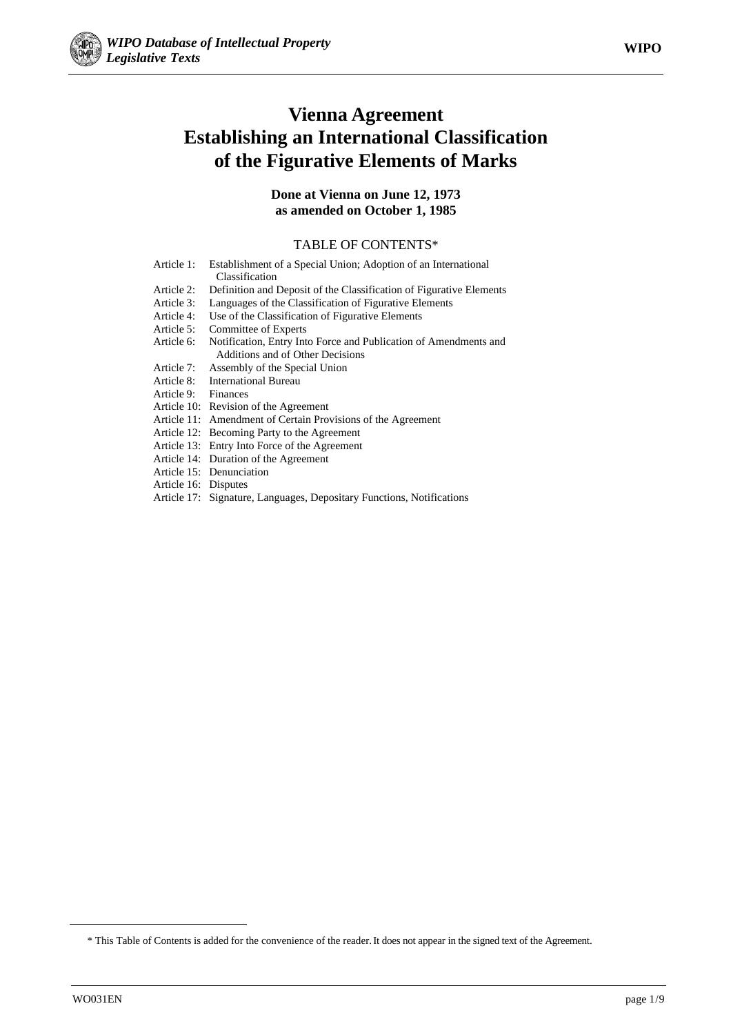

# **Vienna Agreement Establishing an International Classification of the Figurative Elements of Marks**

#### **Done at Vienna on June 12, 1973 as amended on October 1, 1985**

#### TABLE OF CONTENTS\*

| Article 1:          | Establishment of a Special Union; Adoption of an International      |
|---------------------|---------------------------------------------------------------------|
|                     | Classification                                                      |
| Article 2:          | Definition and Deposit of the Classification of Figurative Elements |
| Article 3:          | Languages of the Classification of Figurative Elements              |
| Article 4:          | Use of the Classification of Figurative Elements                    |
| Article 5:          | Committee of Experts                                                |
| Article 6:          | Notification, Entry Into Force and Publication of Amendments and    |
|                     | Additions and of Other Decisions                                    |
| Article 7:          | Assembly of the Special Union                                       |
| Article 8:          | <b>International Bureau</b>                                         |
| Article 9: Finances |                                                                     |
|                     | Article 10: Revision of the Agreement                               |
|                     | Article 11: Amendment of Certain Provisions of the Agreement        |
|                     | Article 12: Becoming Party to the Agreement                         |
|                     | Article 13: Entry Into Force of the Agreement                       |
|                     | Article 14: Duration of the Agreement                               |
|                     | Article 15: Denunciation                                            |
|                     |                                                                     |

- Article 16: Disputes
- Article 17: Signature, Languages, Depositary Functions, Notifications

**.** 

<sup>\*</sup> This Table of Contents is added for the convenience of the reader. It does not appear in the signed text of the Agreement.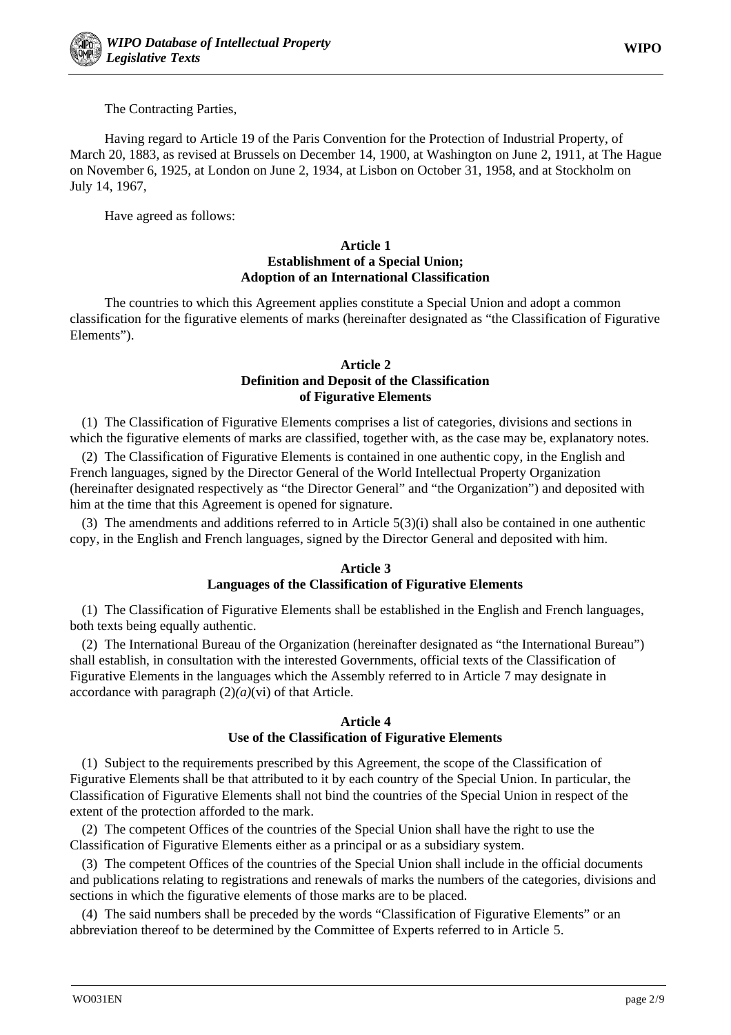

The Contracting Parties,

Having regard to Article 19 of the Paris Convention for the Protection of Industrial Property, of March 20, 1883, as revised at Brussels on December 14, 1900, at Washington on June 2, 1911, at The Hague on November 6, 1925, at London on June 2, 1934, at Lisbon on October 31, 1958, and at Stockholm on July 14, 1967,

Have agreed as follows:

#### **Article 1 Establishment of a Special Union; Adoption of an International Classification**

The countries to which this Agreement applies constitute a Special Union and adopt a common classification for the figurative elements of marks (hereinafter designated as "the Classification of Figurative Elements").

#### **Article 2 Definition and Deposit of the Classification of Figurative Elements**

(1) The Classification of Figurative Elements comprises a list of categories, divisions and sections in which the figurative elements of marks are classified, together with, as the case may be, explanatory notes.

(2) The Classification of Figurative Elements is contained in one authentic copy, in the English and French languages, signed by the Director General of the World Intellectual Property Organization (hereinafter designated respectively as "the Director General" and "the Organization") and deposited with him at the time that this Agreement is opened for signature.

(3) The amendments and additions referred to in Article 5(3)(i) shall also be contained in one authentic copy, in the English and French languages, signed by the Director General and deposited with him.

# **Article 3**

# **Languages of the Classification of Figurative Elements**

(1) The Classification of Figurative Elements shall be established in the English and French languages, both texts being equally authentic.

(2) The International Bureau of the Organization (hereinafter designated as "the International Bureau") shall establish, in consultation with the interested Governments, official texts of the Classification of Figurative Elements in the languages which the Assembly referred to in Article 7 may designate in accordance with paragraph (2)*(a)*(vi) of that Article.

#### **Article 4 Use of the Classification of Figurative Elements**

(1) Subject to the requirements prescribed by this Agreement, the scope of the Classification of Figurative Elements shall be that attributed to it by each country of the Special Union. In particular, the Classification of Figurative Elements shall not bind the countries of the Special Union in respect of the extent of the protection afforded to the mark.

(2) The competent Offices of the countries of the Special Union shall have the right to use the Classification of Figurative Elements either as a principal or as a subsidiary system.

(3) The competent Offices of the countries of the Special Union shall include in the official documents and publications relating to registrations and renewals of marks the numbers of the categories, divisions and sections in which the figurative elements of those marks are to be placed.

(4) The said numbers shall be preceded by the words "Classification of Figurative Elements" or an abbreviation thereof to be determined by the Committee of Experts referred to in Article 5.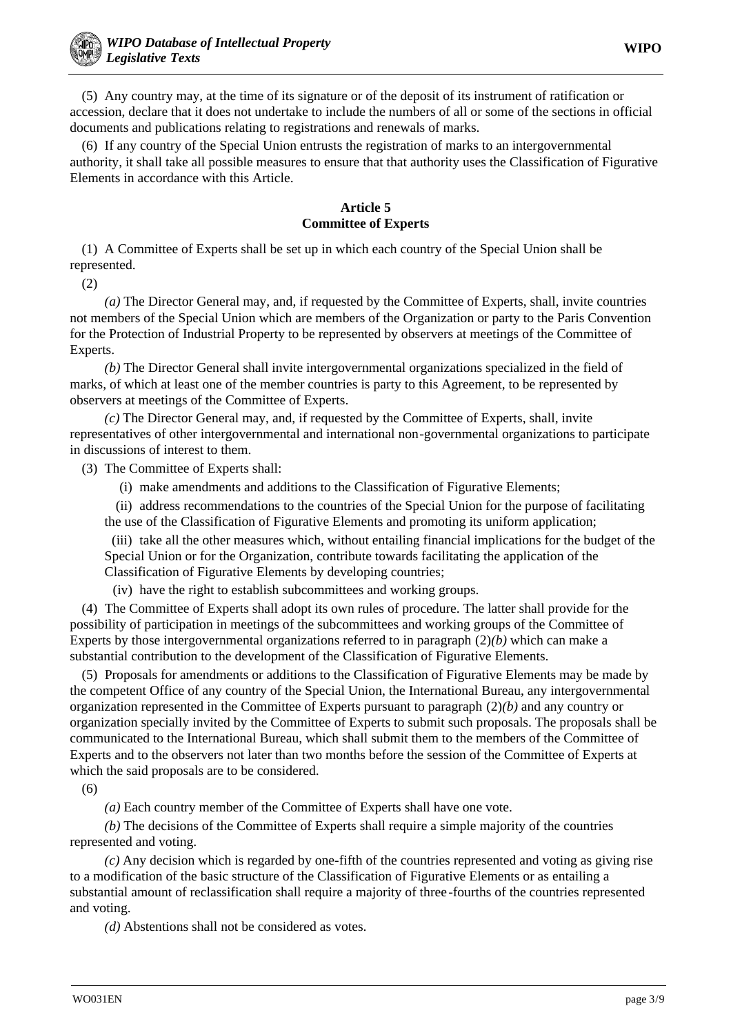(5) Any country may, at the time of its signature or of the deposit of its instrument of ratification or accession, declare that it does not undertake to include the numbers of all or some of the sections in official documents and publications relating to registrations and renewals of marks.

(6) If any country of the Special Union entrusts the registration of marks to an intergovernmental authority, it shall take all possible measures to ensure that that authority uses the Classification of Figurative Elements in accordance with this Article.

#### **Article 5 Committee of Experts**

(1) A Committee of Experts shall be set up in which each country of the Special Union shall be represented.

(2)

*(a)* The Director General may, and, if requested by the Committee of Experts, shall, invite countries not members of the Special Union which are members of the Organization or party to the Paris Convention for the Protection of Industrial Property to be represented by observers at meetings of the Committee of Experts.

*(b)* The Director General shall invite intergovernmental organizations specialized in the field of marks, of which at least one of the member countries is party to this Agreement, to be represented by observers at meetings of the Committee of Experts.

*(c)* The Director General may, and, if requested by the Committee of Experts, shall, invite representatives of other intergovernmental and international non-governmental organizations to participate in discussions of interest to them.

(3) The Committee of Experts shall:

(i) make amendments and additions to the Classification of Figurative Elements;

(ii) address recommendations to the countries of the Special Union for the purpose of facilitating the use of the Classification of Figurative Elements and promoting its uniform application;

(iii) take all the other measures which, without entailing financial implications for the budget of the Special Union or for the Organization, contribute towards facilitating the application of the Classification of Figurative Elements by developing countries;

(iv) have the right to establish subcommittees and working groups.

(4) The Committee of Experts shall adopt its own rules of procedure. The latter shall provide for the possibility of participation in meetings of the subcommittees and working groups of the Committee of Experts by those intergovernmental organizations referred to in paragraph (2)*(b)* which can make a substantial contribution to the development of the Classification of Figurative Elements.

(5) Proposals for amendments or additions to the Classification of Figurative Elements may be made by the competent Office of any country of the Special Union, the International Bureau, any intergovernmental organization represented in the Committee of Experts pursuant to paragraph (2)*(b)* and any country or organization specially invited by the Committee of Experts to submit such proposals. The proposals shall be communicated to the International Bureau, which shall submit them to the members of the Committee of Experts and to the observers not later than two months before the session of the Committee of Experts at which the said proposals are to be considered.

(6)

*(a)* Each country member of the Committee of Experts shall have one vote.

*(b)* The decisions of the Committee of Experts shall require a simple majority of the countries represented and voting.

*(c)* Any decision which is regarded by one-fifth of the countries represented and voting as giving rise to a modification of the basic structure of the Classification of Figurative Elements or as entailing a substantial amount of reclassification shall require a majority of three-fourths of the countries represented and voting.

*(d)* Abstentions shall not be considered as votes.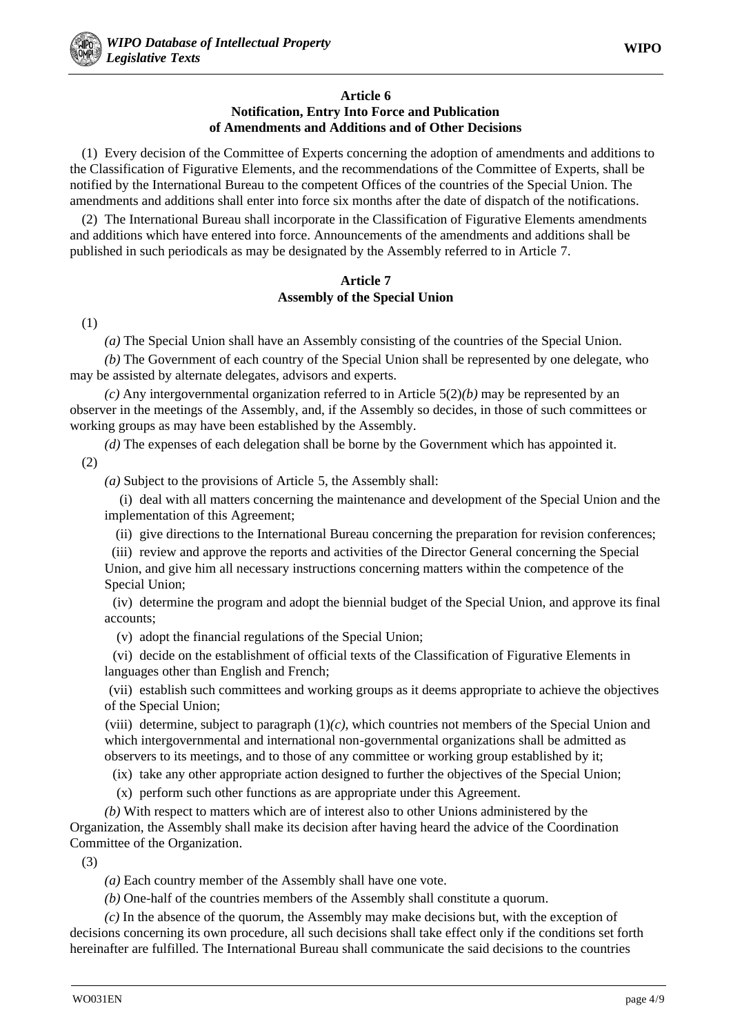#### **Article 6 Notification, Entry Into Force and Publication of Amendments and Additions and of Other Decisions**

(1) Every decision of the Committee of Experts concerning the adoption of amendments and additions to the Classification of Figurative Elements, and the recommendations of the Committee of Experts, shall be notified by the International Bureau to the competent Offices of the countries of the Special Union. The amendments and additions shall enter into force six months after the date of dispatch of the notifications.

(2) The International Bureau shall incorporate in the Classification of Figurative Elements amendments and additions which have entered into force. Announcements of the amendments and additions shall be published in such periodicals as may be designated by the Assembly referred to in Article 7.

#### **Article 7 Assembly of the Special Union**

(1)

*(a)* The Special Union shall have an Assembly consisting of the countries of the Special Union.

*(b)* The Government of each country of the Special Union shall be represented by one delegate, who may be assisted by alternate delegates, advisors and experts.

*(c)* Any intergovernmental organization referred to in Article 5(2)*(b)* may be represented by an observer in the meetings of the Assembly, and, if the Assembly so decides, in those of such committees or working groups as may have been established by the Assembly.

*(d)* The expenses of each delegation shall be borne by the Government which has appointed it. (2)

*(a)* Subject to the provisions of Article 5, the Assembly shall:

(i) deal with all matters concerning the maintenance and development of the Special Union and the implementation of this Agreement;

(ii) give directions to the International Bureau concerning the preparation for revision conferences;

(iii) review and approve the reports and activities of the Director General concerning the Special Union, and give him all necessary instructions concerning matters within the competence of the Special Union;

(iv) determine the program and adopt the biennial budget of the Special Union, and approve its final accounts;

(v) adopt the financial regulations of the Special Union;

(vi) decide on the establishment of official texts of the Classification of Figurative Elements in languages other than English and French;

(vii) establish such committees and working groups as it deems appropriate to achieve the objectives of the Special Union;

(viii) determine, subject to paragraph  $(1)(c)$ , which countries not members of the Special Union and which intergovernmental and international non-governmental organizations shall be admitted as observers to its meetings, and to those of any committee or working group established by it;

(ix) take any other appropriate action designed to further the objectives of the Special Union;

(x) perform such other functions as are appropriate under this Agreement.

*(b)* With respect to matters which are of interest also to other Unions administered by the Organization, the Assembly shall make its decision after having heard the advice of the Coordination Committee of the Organization.

(3)

*(a)* Each country member of the Assembly shall have one vote.

*(b)* One-half of the countries members of the Assembly shall constitute a quorum.

*(c)* In the absence of the quorum, the Assembly may make decisions but, with the exception of decisions concerning its own procedure, all such decisions shall take effect only if the conditions set forth hereinafter are fulfilled. The International Bureau shall communicate the said decisions to the countries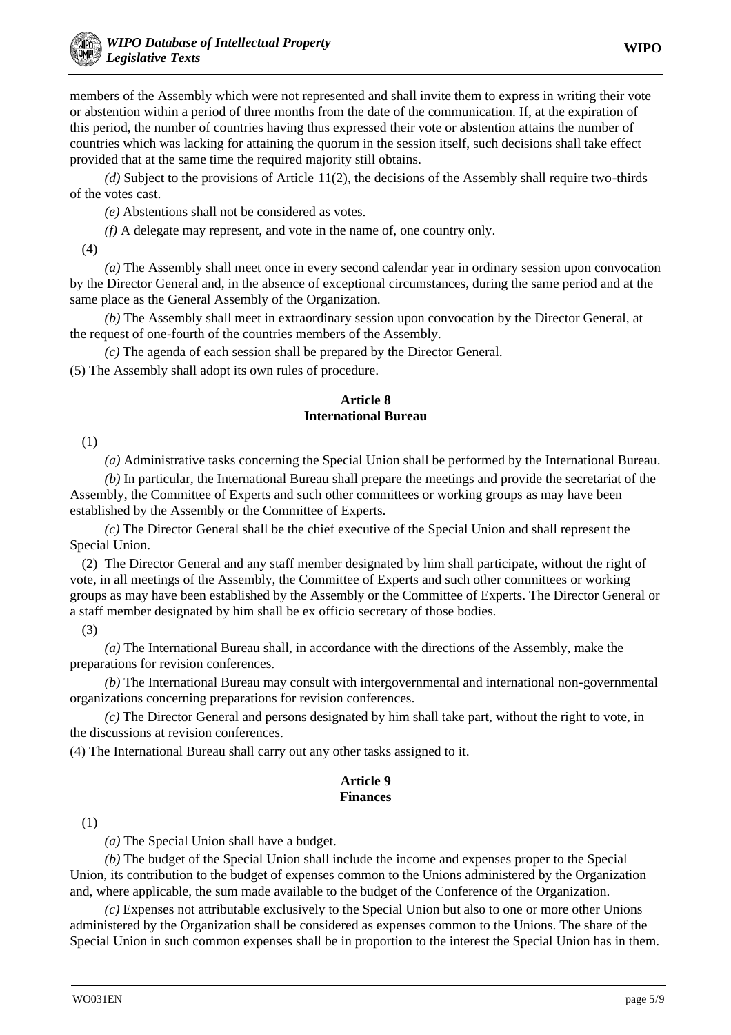members of the Assembly which were not represented and shall invite them to express in writing their vote or abstention within a period of three months from the date of the communication. If, at the expiration of this period, the number of countries having thus expressed their vote or abstention attains the number of countries which was lacking for attaining the quorum in the session itself, such decisions shall take effect provided that at the same time the required majority still obtains.

*(d)* Subject to the provisions of Article 11(2), the decisions of the Assembly shall require two-thirds of the votes cast.

*(e)* Abstentions shall not be considered as votes.

*(f)* A delegate may represent, and vote in the name of, one country only.

(4)

*(a)* The Assembly shall meet once in every second calendar year in ordinary session upon convocation by the Director General and, in the absence of exceptional circumstances, during the same period and at the same place as the General Assembly of the Organization.

*(b)* The Assembly shall meet in extraordinary session upon convocation by the Director General, at the request of one-fourth of the countries members of the Assembly.

*(c)* The agenda of each session shall be prepared by the Director General.

(5) The Assembly shall adopt its own rules of procedure.

# **Article 8 International Bureau**

(1)

*(a)* Administrative tasks concerning the Special Union shall be performed by the International Bureau.

*(b)* In particular, the International Bureau shall prepare the meetings and provide the secretariat of the Assembly, the Committee of Experts and such other committees or working groups as may have been established by the Assembly or the Committee of Experts.

*(c)* The Director General shall be the chief executive of the Special Union and shall represent the Special Union.

(2) The Director General and any staff member designated by him shall participate, without the right of vote, in all meetings of the Assembly, the Committee of Experts and such other committees or working groups as may have been established by the Assembly or the Committee of Experts. The Director General or a staff member designated by him shall be ex officio secretary of those bodies.

(3)

*(a)* The International Bureau shall, in accordance with the directions of the Assembly, make the preparations for revision conferences.

*(b)* The International Bureau may consult with intergovernmental and international non-governmental organizations concerning preparations for revision conferences.

*(c)* The Director General and persons designated by him shall take part, without the right to vote, in the discussions at revision conferences.

(4) The International Bureau shall carry out any other tasks assigned to it.

# **Article 9 Finances**

(1)

*(a)* The Special Union shall have a budget.

*(b)* The budget of the Special Union shall include the income and expenses proper to the Special Union, its contribution to the budget of expenses common to the Unions administered by the Organization and, where applicable, the sum made available to the budget of the Conference of the Organization.

*(c)* Expenses not attributable exclusively to the Special Union but also to one or more other Unions administered by the Organization shall be considered as expenses common to the Unions. The share of the Special Union in such common expenses shall be in proportion to the interest the Special Union has in them.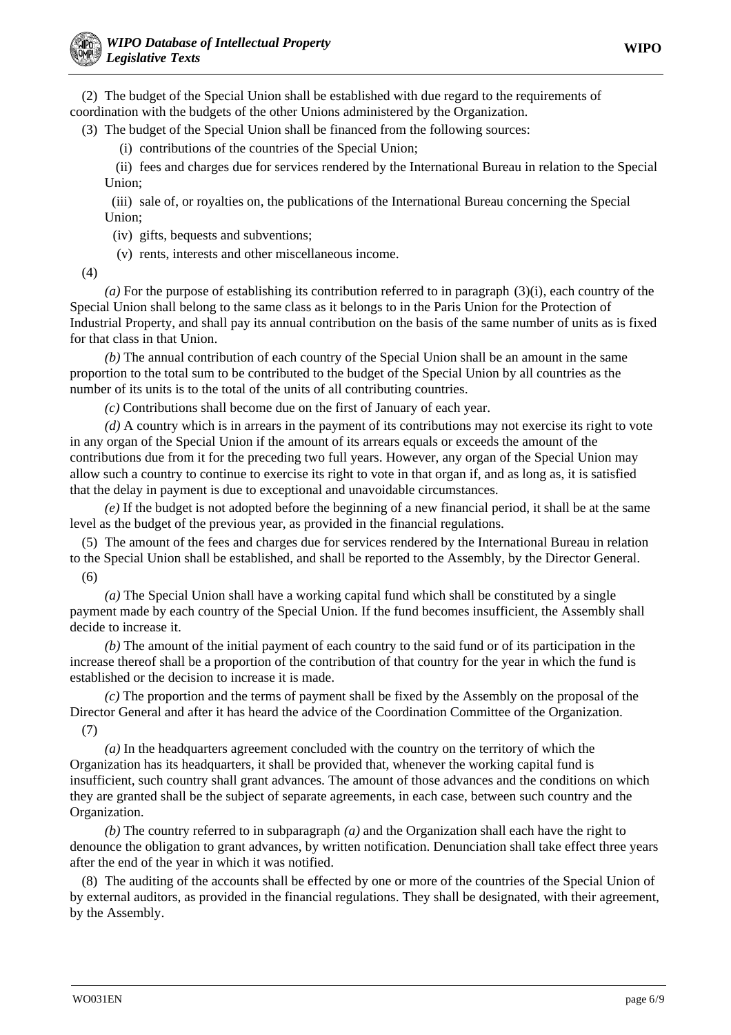(2) The budget of the Special Union shall be established with due regard to the requirements of coordination with the budgets of the other Unions administered by the Organization.

(3) The budget of the Special Union shall be financed from the following sources:

(i) contributions of the countries of the Special Union;

(ii) fees and charges due for services rendered by the International Bureau in relation to the Special Union;

(iii) sale of, or royalties on, the publications of the International Bureau concerning the Special Union;

(iv) gifts, bequests and subventions;

(v) rents, interests and other miscellaneous income.

(4)

*(a)* For the purpose of establishing its contribution referred to in paragraph (3)(i), each country of the Special Union shall belong to the same class as it belongs to in the Paris Union for the Protection of Industrial Property, and shall pay its annual contribution on the basis of the same number of units as is fixed for that class in that Union.

*(b)* The annual contribution of each country of the Special Union shall be an amount in the same proportion to the total sum to be contributed to the budget of the Special Union by all countries as the number of its units is to the total of the units of all contributing countries.

*(c)* Contributions shall become due on the first of January of each year.

*(d)* A country which is in arrears in the payment of its contributions may not exercise its right to vote in any organ of the Special Union if the amount of its arrears equals or exceeds the amount of the contributions due from it for the preceding two full years. However, any organ of the Special Union may allow such a country to continue to exercise its right to vote in that organ if, and as long as, it is satisfied that the delay in payment is due to exceptional and unavoidable circumstances.

*(e)* If the budget is not adopted before the beginning of a new financial period, it shall be at the same level as the budget of the previous year, as provided in the financial regulations.

(5) The amount of the fees and charges due for services rendered by the International Bureau in relation to the Special Union shall be established, and shall be reported to the Assembly, by the Director General. (6)

*(a)* The Special Union shall have a working capital fund which shall be constituted by a single payment made by each country of the Special Union. If the fund becomes insufficient, the Assembly shall decide to increase it.

*(b)* The amount of the initial payment of each country to the said fund or of its participation in the increase thereof shall be a proportion of the contribution of that country for the year in which the fund is established or the decision to increase it is made.

*(c)* The proportion and the terms of payment shall be fixed by the Assembly on the proposal of the Director General and after it has heard the advice of the Coordination Committee of the Organization. (7)

*(a)* In the headquarters agreement concluded with the country on the territory of which the Organization has its headquarters, it shall be provided that, whenever the working capital fund is insufficient, such country shall grant advances. The amount of those advances and the conditions on which they are granted shall be the subject of separate agreements, in each case, between such country and the Organization.

*(b)* The country referred to in subparagraph *(a)* and the Organization shall each have the right to denounce the obligation to grant advances, by written notification. Denunciation shall take effect three years after the end of the year in which it was notified.

(8) The auditing of the accounts shall be effected by one or more of the countries of the Special Union of by external auditors, as provided in the financial regulations. They shall be designated, with their agreement, by the Assembly.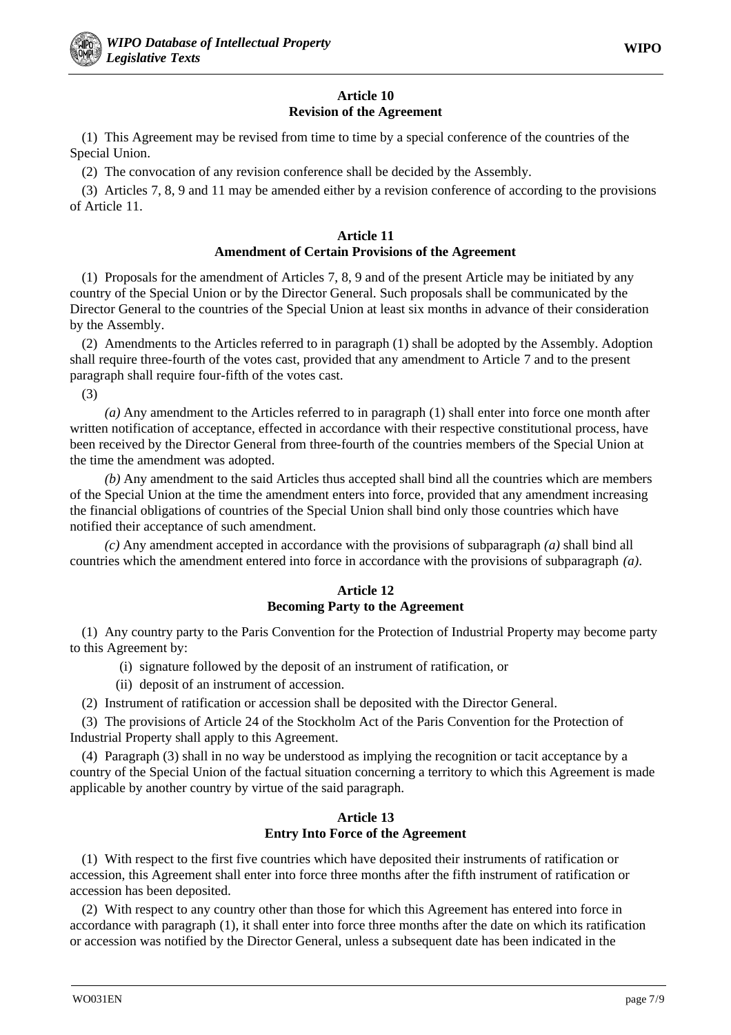# **Article 10 Revision of the Agreement**

(1) This Agreement may be revised from time to time by a special conference of the countries of the Special Union.

(2) The convocation of any revision conference shall be decided by the Assembly.

(3) Articles 7, 8, 9 and 11 may be amended either by a revision conference of according to the provisions of Article 11.

# **Article 11 Amendment of Certain Provisions of the Agreement**

(1) Proposals for the amendment of Articles 7, 8, 9 and of the present Article may be initiated by any country of the Special Union or by the Director General. Such proposals shall be communicated by the Director General to the countries of the Special Union at least six months in advance of their consideration by the Assembly.

(2) Amendments to the Articles referred to in paragraph (1) shall be adopted by the Assembly. Adoption shall require three-fourth of the votes cast, provided that any amendment to Article 7 and to the present paragraph shall require four-fifth of the votes cast.

(3)

*(a)* Any amendment to the Articles referred to in paragraph (1) shall enter into force one month after written notification of acceptance, effected in accordance with their respective constitutional process, have been received by the Director General from three-fourth of the countries members of the Special Union at the time the amendment was adopted.

*(b)* Any amendment to the said Articles thus accepted shall bind all the countries which are members of the Special Union at the time the amendment enters into force, provided that any amendment increasing the financial obligations of countries of the Special Union shall bind only those countries which have notified their acceptance of such amendment.

*(c)* Any amendment accepted in accordance with the provisions of subparagraph *(a)* shall bind all countries which the amendment entered into force in accordance with the provisions of subparagraph *(a)*.

#### **Article 12 Becoming Party to the Agreement**

(1) Any country party to the Paris Convention for the Protection of Industrial Property may become party to this Agreement by:

- (i) signature followed by the deposit of an instrument of ratification, or
- (ii) deposit of an instrument of accession.
- (2) Instrument of ratification or accession shall be deposited with the Director General.

(3) The provisions of Article 24 of the Stockholm Act of the Paris Convention for the Protection of Industrial Property shall apply to this Agreement.

(4) Paragraph (3) shall in no way be understood as implying the recognition or tacit acceptance by a country of the Special Union of the factual situation concerning a territory to which this Agreement is made applicable by another country by virtue of the said paragraph.

#### **Article 13 Entry Into Force of the Agreement**

(1) With respect to the first five countries which have deposited their instruments of ratification or accession, this Agreement shall enter into force three months after the fifth instrument of ratification or accession has been deposited.

(2) With respect to any country other than those for which this Agreement has entered into force in accordance with paragraph (1), it shall enter into force three months after the date on which its ratification or accession was notified by the Director General, unless a subsequent date has been indicated in the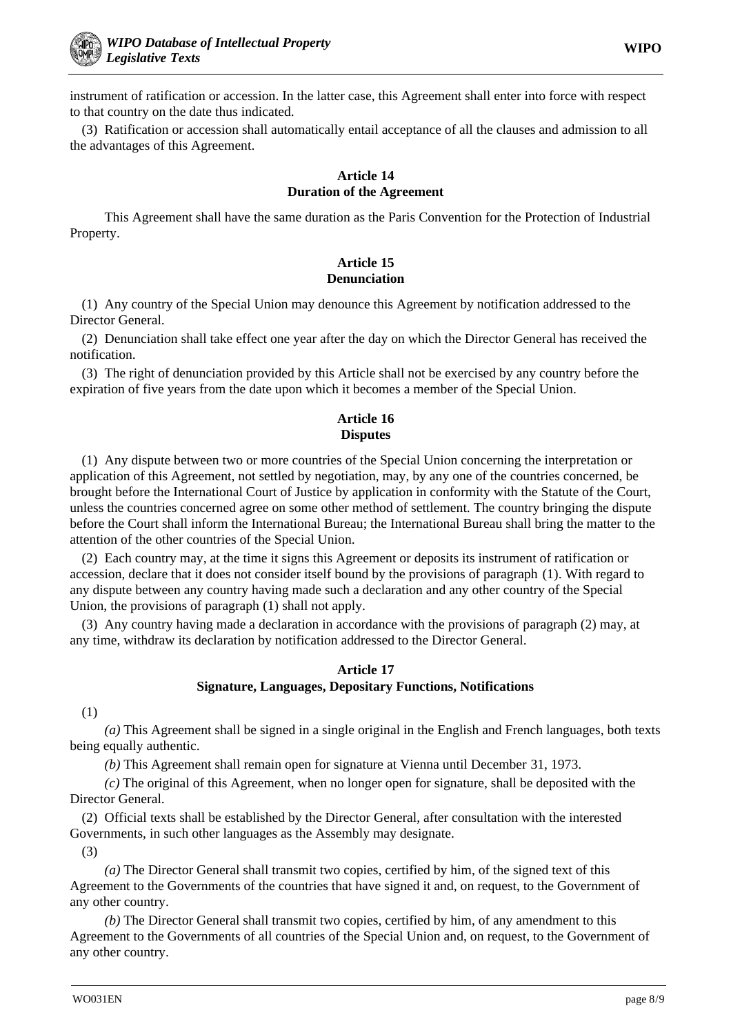instrument of ratification or accession. In the latter case, this Agreement shall enter into force with respect to that country on the date thus indicated.

(3) Ratification or accession shall automatically entail acceptance of all the clauses and admission to all the advantages of this Agreement.

# **Article 14 Duration of the Agreement**

This Agreement shall have the same duration as the Paris Convention for the Protection of Industrial Property.

# **Article 15 Denunciation**

(1) Any country of the Special Union may denounce this Agreement by notification addressed to the Director General.

(2) Denunciation shall take effect one year after the day on which the Director General has received the notification.

(3) The right of denunciation provided by this Article shall not be exercised by any country before the expiration of five years from the date upon which it becomes a member of the Special Union.

# **Article 16 Disputes**

(1) Any dispute between two or more countries of the Special Union concerning the interpretation or application of this Agreement, not settled by negotiation, may, by any one of the countries concerned, be brought before the International Court of Justice by application in conformity with the Statute of the Court, unless the countries concerned agree on some other method of settlement. The country bringing the dispute before the Court shall inform the International Bureau; the International Bureau shall bring the matter to the attention of the other countries of the Special Union.

(2) Each country may, at the time it signs this Agreement or deposits its instrument of ratification or accession, declare that it does not consider itself bound by the provisions of paragraph (1). With regard to any dispute between any country having made such a declaration and any other country of the Special Union, the provisions of paragraph (1) shall not apply.

(3) Any country having made a declaration in accordance with the provisions of paragraph (2) may, at any time, withdraw its declaration by notification addressed to the Director General.

# **Article 17 Signature, Languages, Depositary Functions, Notifications**

(1)

*(a)* This Agreement shall be signed in a single original in the English and French languages, both texts being equally authentic.

*(b)* This Agreement shall remain open for signature at Vienna until December 31, 1973.

*(c)* The original of this Agreement, when no longer open for signature, shall be deposited with the Director General.

(2) Official texts shall be established by the Director General, after consultation with the interested Governments, in such other languages as the Assembly may designate.

(3)

*(a)* The Director General shall transmit two copies, certified by him, of the signed text of this Agreement to the Governments of the countries that have signed it and, on request, to the Government of any other country.

*(b)* The Director General shall transmit two copies, certified by him, of any amendment to this Agreement to the Governments of all countries of the Special Union and, on request, to the Government of any other country.